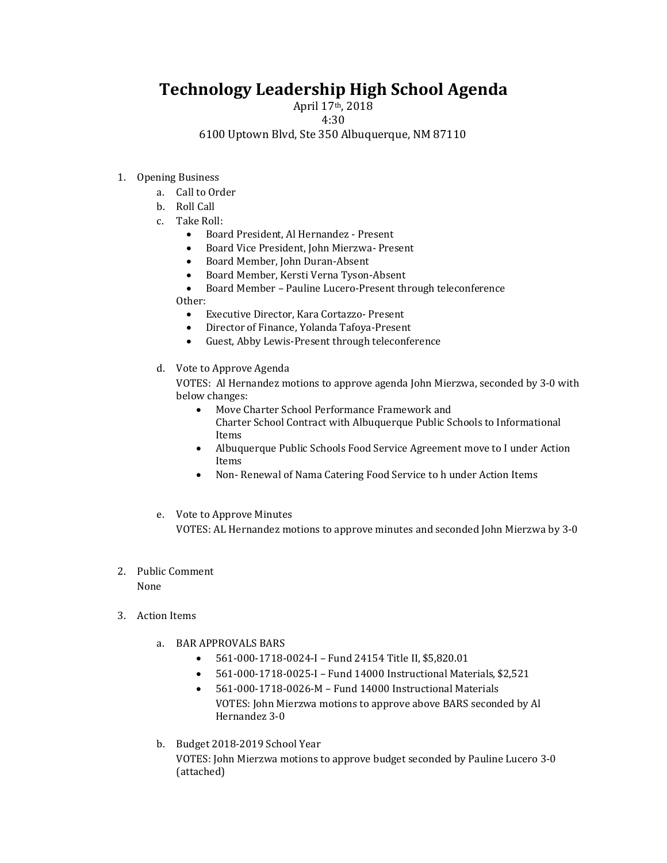## **Technology Leadership High School Agenda**

April 17th, 2018

4:30

6100 Uptown Blvd, Ste 350 Albuquerque, NM 87110

- 1. Opening Business
	- a. Call to Order
	- b. Roll Call
	- c. Take Roll:
		- Board President, Al Hernandez Present
		- Board Vice President, John Mierzwa- Present
		- Board Member, John Duran-Absent
		- Board Member, Kersti Verna Tyson-Absent
		- Board Member Pauline Lucero-Present through teleconference
		- Other:
			- Executive Director, Kara Cortazzo- Present
			- Director of Finance, Yolanda Tafoya-Present
			- Guest, Abby Lewis-Present through teleconference
	- d. Vote to Approve Agenda

VOTES: Al Hernandez motions to approve agenda John Mierzwa, seconded by 3-0 with below changes:

- Move Charter School Performance Framework and
	- Charter School Contract with Albuquerque Public Schools to Informational Items
- Albuquerque Public Schools Food Service Agreement move to I under Action Items
- Non- Renewal of Nama Catering Food Service to h under Action Items
- e. Vote to Approve Minutes

VOTES: AL Hernandez motions to approve minutes and seconded John Mierzwa by 3-0

2. Public Comment

None

- 3. Action Items
	- a. BAR APPROVALS BARS
		- 561-000-1718-0024-I Fund 24154 Title II, \$5,820.01
		- 561-000-1718-0025-I Fund 14000 Instructional Materials, \$2,521
		- 561-000-1718-0026-M Fund 14000 Instructional Materials VOTES: John Mierzwa motions to approve above BARS seconded by Al Hernandez 3-0
	- b. Budget 2018-2019 School Year

VOTES: John Mierzwa motions to approve budget seconded by Pauline Lucero 3-0 (attached)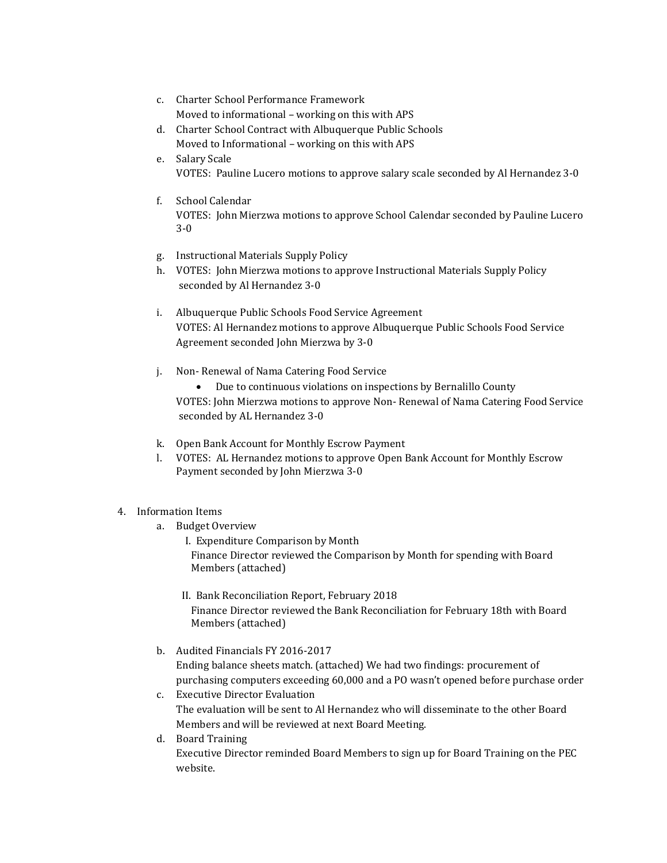- c. Charter School Performance Framework Moved to informational – working on this with APS
- d. Charter School Contract with Albuquerque Public Schools Moved to Informational – working on this with APS
- e. Salary Scale VOTES: Pauline Lucero motions to approve salary scale seconded by Al Hernandez 3-0
- f. School Calendar VOTES: John Mierzwa motions to approve School Calendar seconded by Pauline Lucero 3-0
- g. Instructional Materials Supply Policy
- h. VOTES: John Mierzwa motions to approve Instructional Materials Supply Policy seconded by Al Hernandez 3-0
- i. Albuquerque Public Schools Food Service Agreement VOTES: Al Hernandez motions to approve Albuquerque Public Schools Food Service Agreement seconded John Mierzwa by 3-0
- j. Non- Renewal of Nama Catering Food Service
	- Due to continuous violations on inspections by Bernalillo County VOTES: John Mierzwa motions to approve Non- Renewal of Nama Catering Food Service seconded by AL Hernandez 3-0
- k. Open Bank Account for Monthly Escrow Payment
- l. VOTES: AL Hernandez motions to approve Open Bank Account for Monthly Escrow Payment seconded by John Mierzwa 3-0

## 4. Information Items

- a. Budget Overview
	- I. Expenditure Comparison by Month Finance Director reviewed the Comparison by Month for spending with Board Members (attached)
	- II. Bank Reconciliation Report, February 2018 Finance Director reviewed the Bank Reconciliation for February 18th with Board Members (attached)
- b. Audited Financials FY 2016-2017

Ending balance sheets match. (attached) We had two findings: procurement of purchasing computers exceeding 60,000 and a PO wasn't opened before purchase order

- c. Executive Director Evaluation The evaluation will be sent to Al Hernandez who will disseminate to the other Board Members and will be reviewed at next Board Meeting.
- d. Board Training

Executive Director reminded Board Members to sign up for Board Training on the PEC website.